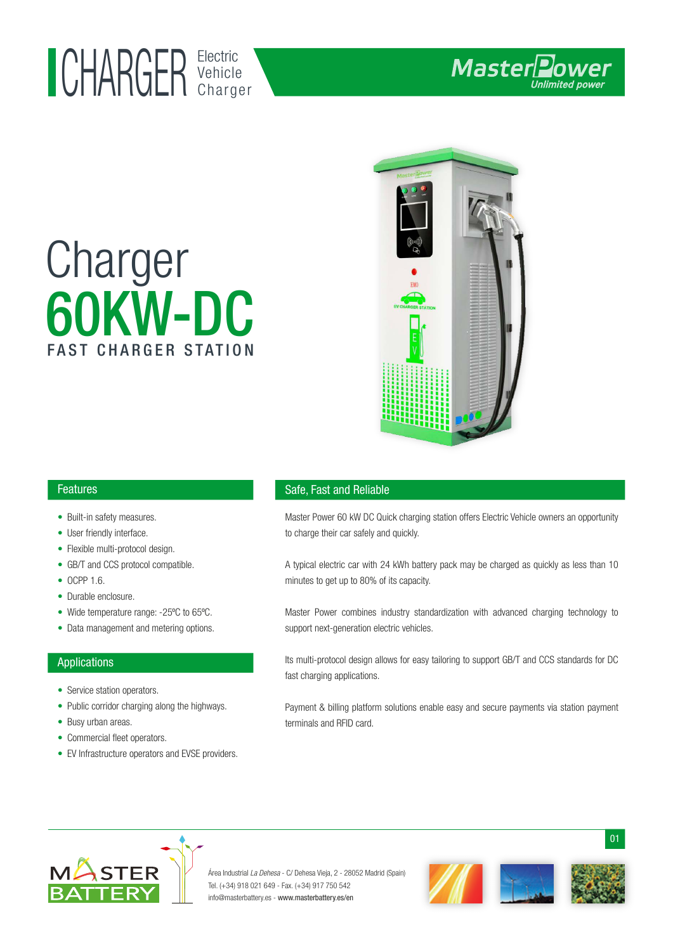## Electric UHAKUEK Vehicle

# 60KW-DC Charger FAST CHARGER STATION



#### Features

- Built-in safety measures.
- User friendly interface.
- Flexible multi-protocol design. •
- GB/T and CCS protocol compatible.
- OCPP 1.6.
- Durable enclosure.
- Wide temperature range: -25°C to 65°C.
- Data management and metering options.

#### Applications

- Service station operators.
- Public corridor charging along the highways.
- Busy urban areas.
- Commercial fleet operators.
- EV Infrastructure operators and EVSE providers. •

#### Safe, Fast and Reliable

Master Power 60 kW DC Quick charging station offers Electric Vehicle owners an opportunity to charge their car safely and quickly.

A typical electric car with 24 kWh battery pack may be charged as quickly as less than 10 minutes to get up to 80% of its capacity.

Master Power combines industry standardization with advanced charging technology to support next-generation electric vehicles.

Its multi-protocol design allows for easy tailoring to support GB/T and CCS standards for DC fast charging applications.

Payment & billing platform solutions enable easy and secure payments via station payment terminals and RFID card.



Área Industrial La Dehesa - C/ Dehesa Vieja, 2 - 28052 Madrid (Spain) Tel. (+34) 918 021 649 - Fax. (+34) 917 750 542 info@masterbattery.es - www.masterbattery.es/en



01